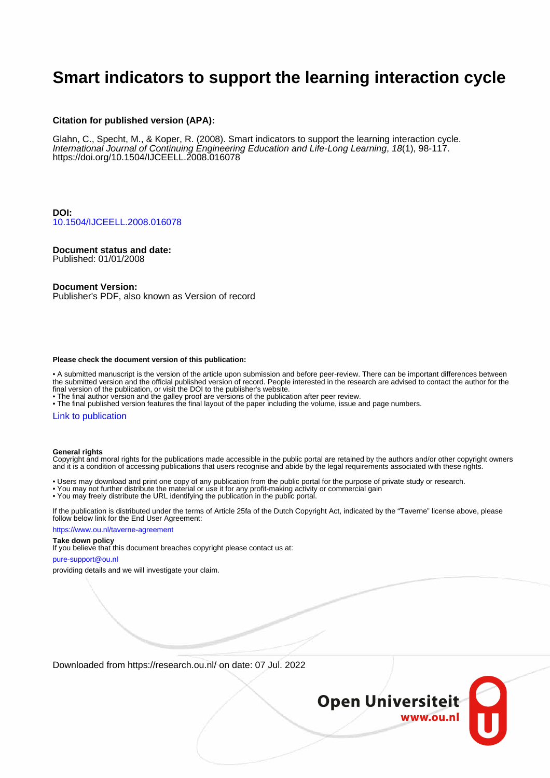# **Smart indicators to support the learning interaction cycle**

# **Citation for published version (APA):**

Glahn, C., Specht, M., & Koper, R. (2008). Smart indicators to support the learning interaction cycle. International Journal of Continuing Engineering Education and Life-Long Learning, 18(1), 98-117. <https://doi.org/10.1504/IJCEELL.2008.016078>

**DOI:** [10.1504/IJCEELL.2008.016078](https://doi.org/10.1504/IJCEELL.2008.016078)

# **Document status and date:**

Published: 01/01/2008

#### **Document Version:**

Publisher's PDF, also known as Version of record

#### **Please check the document version of this publication:**

• A submitted manuscript is the version of the article upon submission and before peer-review. There can be important differences between the submitted version and the official published version of record. People interested in the research are advised to contact the author for the final version of the publication, or visit the DOI to the publisher's website.

• The final author version and the galley proof are versions of the publication after peer review.

• The final published version features the final layout of the paper including the volume, issue and page numbers.

#### [Link to publication](https://research.ou.nl/en/publications/1644a5be-4ffe-4a64-943e-9c409964b55d)

#### **General rights**

Copyright and moral rights for the publications made accessible in the public portal are retained by the authors and/or other copyright owners and it is a condition of accessing publications that users recognise and abide by the legal requirements associated with these rights.

- Users may download and print one copy of any publication from the public portal for the purpose of private study or research.
- You may not further distribute the material or use it for any profit-making activity or commercial gain
- You may freely distribute the URL identifying the publication in the public portal.

If the publication is distributed under the terms of Article 25fa of the Dutch Copyright Act, indicated by the "Taverne" license above, please follow below link for the End User Agreement:

#### https://www.ou.nl/taverne-agreement

# **Take down policy**

If you believe that this document breaches copyright please contact us at:

#### pure-support@ou.nl

providing details and we will investigate your claim.

Downloaded from https://research.ou.nl/ on date: 07 Jul. 2022

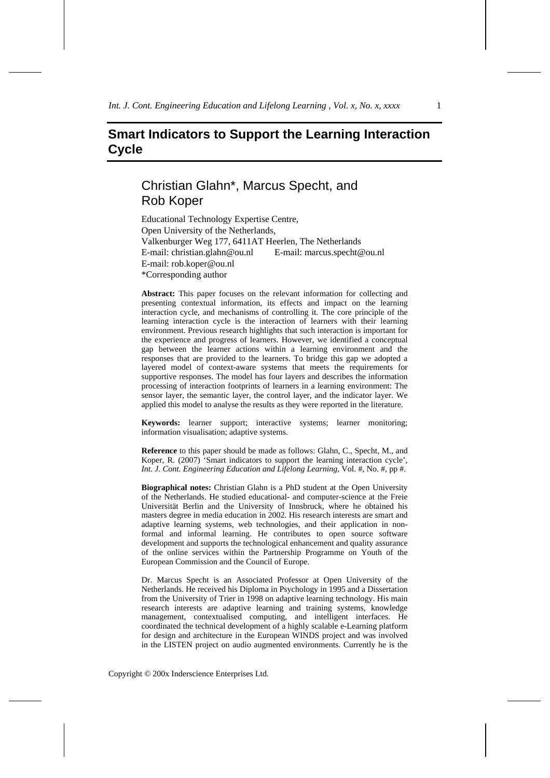# **Smart Indicators to Support the Learning Interaction Cycle**

# Christian Glahn\*, Marcus Specht, and Rob Koper

Educational Technology Expertise Centre, Open University of the Netherlands, Valkenburger Weg 177, 6411AT Heerlen, The Netherlands E-mail: christian.glahn@ou.nl E-mail: marcus.specht@ou.nl E-mail: rob.koper@ou.nl \*Corresponding author

**Abstract:** This paper focuses on the relevant information for collecting and presenting contextual information, its effects and impact on the learning interaction cycle, and mechanisms of controlling it. The core principle of the learning interaction cycle is the interaction of learners with their learning environment. Previous research highlights that such interaction is important for the experience and progress of learners. However, we identified a conceptual gap between the learner actions within a learning environment and the responses that are provided to the learners. To bridge this gap we adopted a layered model of context-aware systems that meets the requirements for supportive responses. The model has four layers and describes the information processing of interaction footprints of learners in a learning environment: The sensor layer, the semantic layer, the control layer, and the indicator layer. We applied this model to analyse the results as they were reported in the literature.

**Keywords:** learner support; interactive systems; learner monitoring; information visualisation; adaptive systems.

**Reference** to this paper should be made as follows: Glahn, C., Specht, M., and Koper, R. (2007) 'Smart indicators to support the learning interaction cycle', *Int. J. Cont. Engineering Education and Lifelong Learning*, Vol. #, No. #, pp #.

**Biographical notes:** Christian Glahn is a PhD student at the Open University of the Netherlands. He studied educational- and computer-science at the Freie Universität Berlin and the University of Innsbruck, where he obtained his masters degree in media education in 2002. His research interests are smart and adaptive learning systems, web technologies, and their application in nonformal and informal learning. He contributes to open source software development and supports the technological enhancement and quality assurance of the online services within the Partnership Programme on Youth of the European Commission and the Council of Europe.

Dr. Marcus Specht is an Associated Professor at Open University of the Netherlands. He received his Diploma in Psychology in 1995 and a Dissertation from the University of Trier in 1998 on adaptive learning technology. His main research interests are adaptive learning and training systems, knowledge management, contextualised computing, and intelligent interfaces. He coordinated the technical development of a highly scalable e-Learning platform for design and architecture in the European WINDS project and was involved in the LISTEN project on audio augmented environments. Currently he is the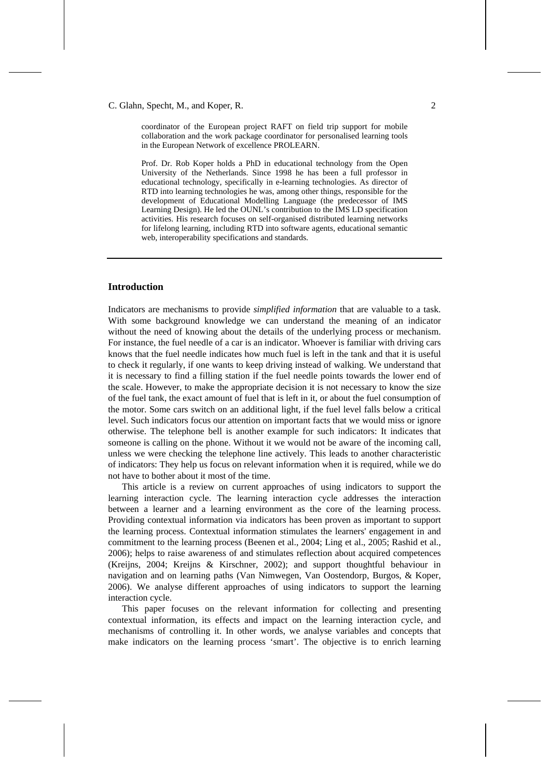coordinator of the European project RAFT on field trip support for mobile collaboration and the work package coordinator for personalised learning tools in the European Network of excellence PROLEARN.

Prof. Dr. Rob Koper holds a PhD in educational technology from the Open University of the Netherlands. Since 1998 he has been a full professor in educational technology, specifically in e-learning technologies. As director of RTD into learning technologies he was, among other things, responsible for the development of Educational Modelling Language (the predecessor of IMS Learning Design). He led the OUNL's contribution to the IMS LD specification activities. His research focuses on self-organised distributed learning networks for lifelong learning, including RTD into software agents, educational semantic web, interoperability specifications and standards.

# **Introduction**

Indicators are mechanisms to provide *simplified information* that are valuable to a task. With some background knowledge we can understand the meaning of an indicator without the need of knowing about the details of the underlying process or mechanism. For instance, the fuel needle of a car is an indicator. Whoever is familiar with driving cars knows that the fuel needle indicates how much fuel is left in the tank and that it is useful to check it regularly, if one wants to keep driving instead of walking. We understand that it is necessary to find a filling station if the fuel needle points towards the lower end of the scale. However, to make the appropriate decision it is not necessary to know the size of the fuel tank, the exact amount of fuel that is left in it, or about the fuel consumption of the motor. Some cars switch on an additional light, if the fuel level falls below a critical level. Such indicators focus our attention on important facts that we would miss or ignore otherwise. The telephone bell is another example for such indicators: It indicates that someone is calling on the phone. Without it we would not be aware of the incoming call, unless we were checking the telephone line actively. This leads to another characteristic of indicators: They help us focus on relevant information when it is required, while we do not have to bother about it most of the time.

This article is a review on current approaches of using indicators to support the learning interaction cycle. The learning interaction cycle addresses the interaction between a learner and a learning environment as the core of the learning process. Providing contextual information via indicators has been proven as important to support the learning process. Contextual information stimulates the learners' engagement in and commitment to the learning process (Beenen et al., 2004; Ling et al., 2005; Rashid et al., 2006); helps to raise awareness of and stimulates reflection about acquired competences (Kreijns, 2004; Kreijns & Kirschner, 2002); and support thoughtful behaviour in navigation and on learning paths (Van Nimwegen, Van Oostendorp, Burgos, & Koper, 2006). We analyse different approaches of using indicators to support the learning interaction cycle.

This paper focuses on the relevant information for collecting and presenting contextual information, its effects and impact on the learning interaction cycle, and mechanisms of controlling it. In other words, we analyse variables and concepts that make indicators on the learning process 'smart'. The objective is to enrich learning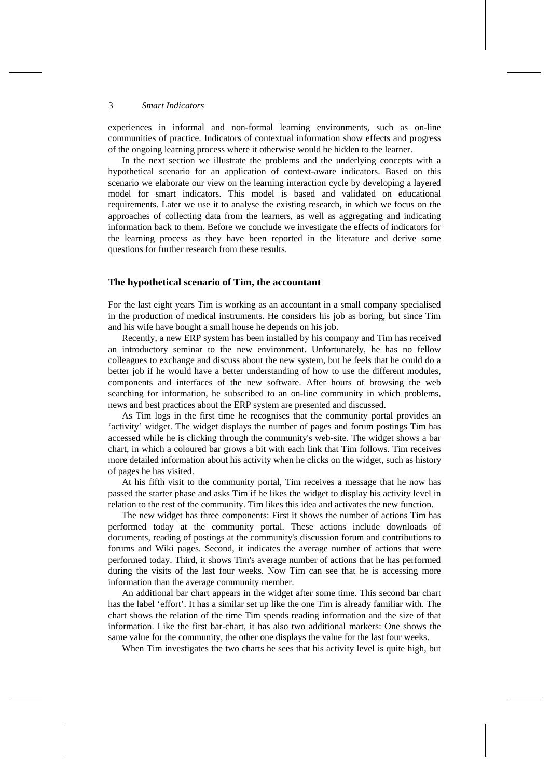experiences in informal and non-formal learning environments, such as on-line communities of practice. Indicators of contextual information show effects and progress of the ongoing learning process where it otherwise would be hidden to the learner.

In the next section we illustrate the problems and the underlying concepts with a hypothetical scenario for an application of context-aware indicators. Based on this scenario we elaborate our view on the learning interaction cycle by developing a layered model for smart indicators. This model is based and validated on educational requirements. Later we use it to analyse the existing research, in which we focus on the approaches of collecting data from the learners, as well as aggregating and indicating information back to them. Before we conclude we investigate the effects of indicators for the learning process as they have been reported in the literature and derive some questions for further research from these results.

## **The hypothetical scenario of Tim, the accountant**

For the last eight years Tim is working as an accountant in a small company specialised in the production of medical instruments. He considers his job as boring, but since Tim and his wife have bought a small house he depends on his job.

Recently, a new ERP system has been installed by his company and Tim has received an introductory seminar to the new environment. Unfortunately, he has no fellow colleagues to exchange and discuss about the new system, but he feels that he could do a better job if he would have a better understanding of how to use the different modules, components and interfaces of the new software. After hours of browsing the web searching for information, he subscribed to an on-line community in which problems, news and best practices about the ERP system are presented and discussed.

As Tim logs in the first time he recognises that the community portal provides an 'activity' widget. The widget displays the number of pages and forum postings Tim has accessed while he is clicking through the community's web-site. The widget shows a bar chart, in which a coloured bar grows a bit with each link that Tim follows. Tim receives more detailed information about his activity when he clicks on the widget, such as history of pages he has visited.

At his fifth visit to the community portal, Tim receives a message that he now has passed the starter phase and asks Tim if he likes the widget to display his activity level in relation to the rest of the community. Tim likes this idea and activates the new function.

The new widget has three components: First it shows the number of actions Tim has performed today at the community portal. These actions include downloads of documents, reading of postings at the community's discussion forum and contributions to forums and Wiki pages. Second, it indicates the average number of actions that were performed today. Third, it shows Tim's average number of actions that he has performed during the visits of the last four weeks. Now Tim can see that he is accessing more information than the average community member.

An additional bar chart appears in the widget after some time. This second bar chart has the label 'effort'. It has a similar set up like the one Tim is already familiar with. The chart shows the relation of the time Tim spends reading information and the size of that information. Like the first bar-chart, it has also two additional markers: One shows the same value for the community, the other one displays the value for the last four weeks.

When Tim investigates the two charts he sees that his activity level is quite high, but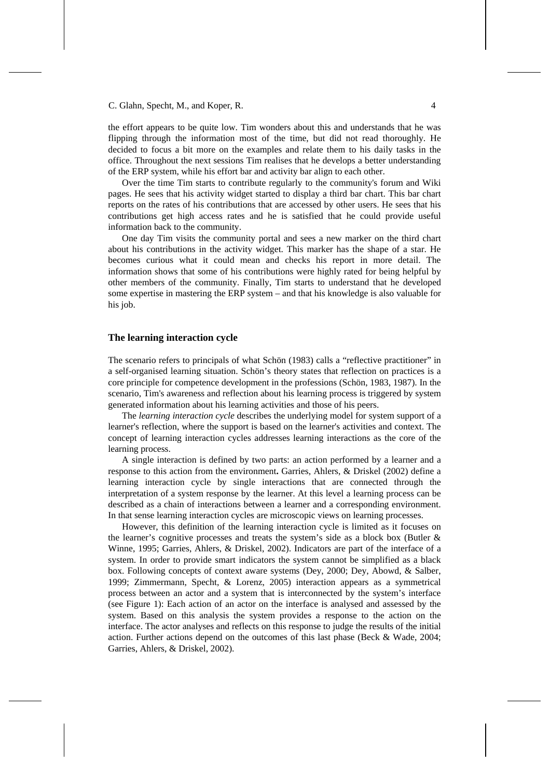the effort appears to be quite low. Tim wonders about this and understands that he was flipping through the information most of the time, but did not read thoroughly. He decided to focus a bit more on the examples and relate them to his daily tasks in the office. Throughout the next sessions Tim realises that he develops a better understanding of the ERP system, while his effort bar and activity bar align to each other.

Over the time Tim starts to contribute regularly to the community's forum and Wiki pages. He sees that his activity widget started to display a third bar chart. This bar chart reports on the rates of his contributions that are accessed by other users. He sees that his contributions get high access rates and he is satisfied that he could provide useful information back to the community.

One day Tim visits the community portal and sees a new marker on the third chart about his contributions in the activity widget. This marker has the shape of a star. He becomes curious what it could mean and checks his report in more detail. The information shows that some of his contributions were highly rated for being helpful by other members of the community. Finally, Tim starts to understand that he developed some expertise in mastering the ERP system – and that his knowledge is also valuable for his job.

# **The learning interaction cycle**

The scenario refers to principals of what Schön (1983) calls a "reflective practitioner" in a self-organised learning situation. Schön's theory states that reflection on practices is a core principle for competence development in the professions (Schön, 1983, 1987). In the scenario, Tim's awareness and reflection about his learning process is triggered by system generated information about his learning activities and those of his peers.

The *learning interaction cycle* describes the underlying model for system support of a learner's reflection, where the support is based on the learner's activities and context. The concept of learning interaction cycles addresses learning interactions as the core of the learning process.

A single interaction is defined by two parts: an action performed by a learner and a response to this action from the environment**.** Garries, Ahlers, & Driskel (2002) define a learning interaction cycle by single interactions that are connected through the interpretation of a system response by the learner. At this level a learning process can be described as a chain of interactions between a learner and a corresponding environment. In that sense learning interaction cycles are microscopic views on learning processes.

However, this definition of the learning interaction cycle is limited as it focuses on the learner's cognitive processes and treats the system's side as a block box (Butler & Winne, 1995; Garries, Ahlers, & Driskel, 2002). Indicators are part of the interface of a system. In order to provide smart indicators the system cannot be simplified as a black box. Following concepts of context aware systems (Dey, 2000; Dey, Abowd, & Salber, 1999; Zimmermann, Specht, & Lorenz, 2005) interaction appears as a symmetrical process between an actor and a system that is interconnected by the system's interface (see Figure 1): Each action of an actor on the interface is analysed and assessed by the system. Based on this analysis the system provides a response to the action on the interface. The actor analyses and reflects on this response to judge the results of the initial action. Further actions depend on the outcomes of this last phase (Beck & Wade, 2004; Garries, Ahlers, & Driskel, 2002).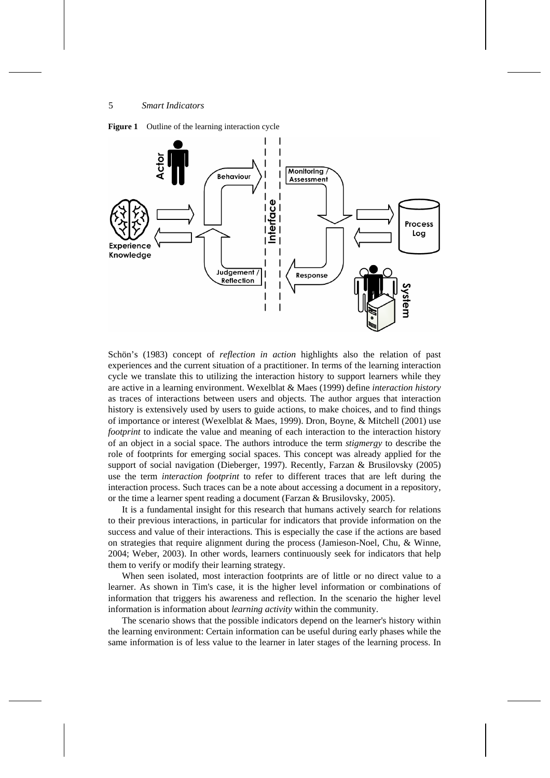

Schön's (1983) concept of *reflection in action* highlights also the relation of past experiences and the current situation of a practitioner. In terms of the learning interaction cycle we translate this to utilizing the interaction history to support learners while they are active in a learning environment. Wexelblat & Maes (1999) define *interaction history* as traces of interactions between users and objects. The author argues that interaction history is extensively used by users to guide actions, to make choices, and to find things of importance or interest (Wexelblat & Maes, 1999). Dron, Boyne, & Mitchell (2001) use *footprint* to indicate the value and meaning of each interaction to the interaction history of an object in a social space. The authors introduce the term *stigmergy* to describe the role of footprints for emerging social spaces. This concept was already applied for the support of social navigation (Dieberger, 1997). Recently, Farzan & Brusilovsky (2005) use the term *interaction footprint* to refer to different traces that are left during the interaction process. Such traces can be a note about accessing a document in a repository, or the time a learner spent reading a document (Farzan & Brusilovsky, 2005).

It is a fundamental insight for this research that humans actively search for relations to their previous interactions, in particular for indicators that provide information on the success and value of their interactions. This is especially the case if the actions are based on strategies that require alignment during the process (Jamieson-Noel, Chu, & Winne, 2004; Weber, 2003). In other words, learners continuously seek for indicators that help them to verify or modify their learning strategy.

When seen isolated, most interaction footprints are of little or no direct value to a learner. As shown in Tim's case, it is the higher level information or combinations of information that triggers his awareness and reflection. In the scenario the higher level information is information about *learning activity* within the community.

The scenario shows that the possible indicators depend on the learner's history within the learning environment: Certain information can be useful during early phases while the same information is of less value to the learner in later stages of the learning process. In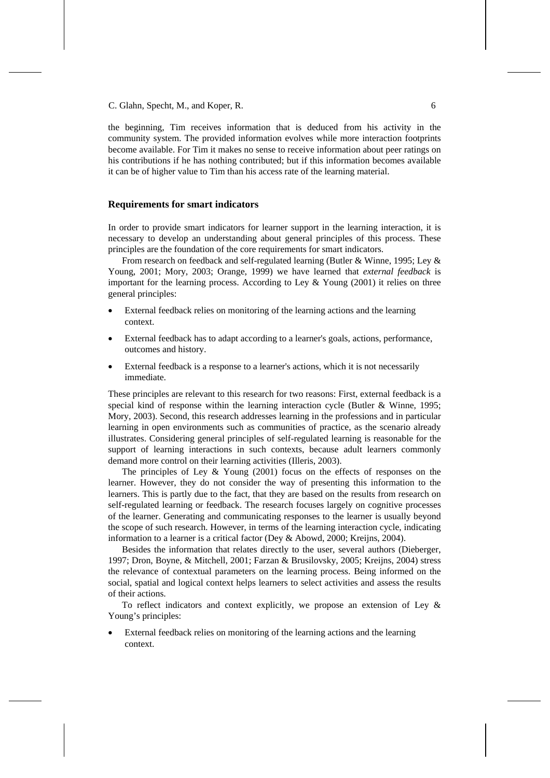the beginning, Tim receives information that is deduced from his activity in the community system. The provided information evolves while more interaction footprints become available. For Tim it makes no sense to receive information about peer ratings on his contributions if he has nothing contributed; but if this information becomes available it can be of higher value to Tim than his access rate of the learning material.

#### **Requirements for smart indicators**

In order to provide smart indicators for learner support in the learning interaction, it is necessary to develop an understanding about general principles of this process. These principles are the foundation of the core requirements for smart indicators.

From research on feedback and self-regulated learning (Butler & Winne, 1995; Ley & Young, 2001; Mory, 2003; Orange, 1999) we have learned that *external feedback* is important for the learning process. According to Ley  $&$  Young (2001) it relies on three general principles:

- External feedback relies on monitoring of the learning actions and the learning context.
- External feedback has to adapt according to a learner's goals, actions, performance, outcomes and history.
- External feedback is a response to a learner's actions, which it is not necessarily immediate.

These principles are relevant to this research for two reasons: First, external feedback is a special kind of response within the learning interaction cycle (Butler & Winne, 1995; Mory, 2003). Second, this research addresses learning in the professions and in particular learning in open environments such as communities of practice, as the scenario already illustrates. Considering general principles of self-regulated learning is reasonable for the support of learning interactions in such contexts, because adult learners commonly demand more control on their learning activities (Illeris, 2003).

The principles of Ley & Young (2001) focus on the effects of responses on the learner. However, they do not consider the way of presenting this information to the learners. This is partly due to the fact, that they are based on the results from research on self-regulated learning or feedback. The research focuses largely on cognitive processes of the learner. Generating and communicating responses to the learner is usually beyond the scope of such research. However, in terms of the learning interaction cycle, indicating information to a learner is a critical factor (Dey & Abowd, 2000; Kreijns, 2004).

Besides the information that relates directly to the user, several authors (Dieberger, 1997; Dron, Boyne, & Mitchell, 2001; Farzan & Brusilovsky, 2005; Kreijns, 2004) stress the relevance of contextual parameters on the learning process. Being informed on the social, spatial and logical context helps learners to select activities and assess the results of their actions.

To reflect indicators and context explicitly, we propose an extension of Ley & Young's principles:

External feedback relies on monitoring of the learning actions and the learning context.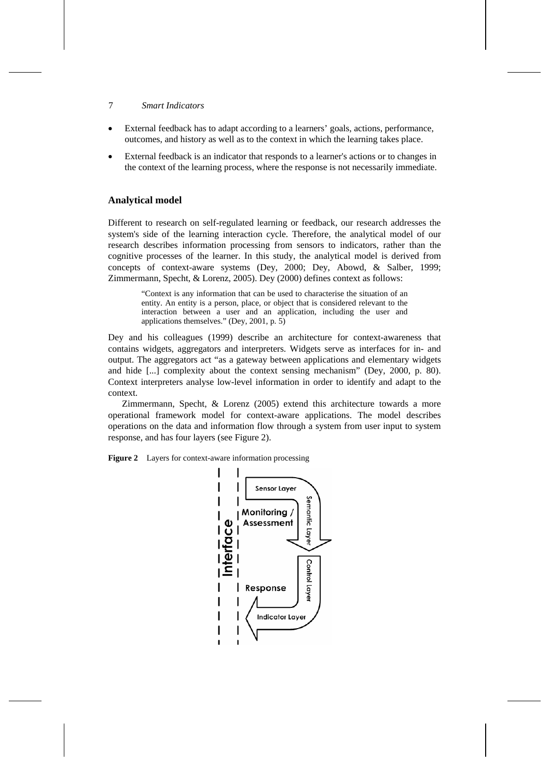- External feedback has to adapt according to a learners' goals, actions, performance, outcomes, and history as well as to the context in which the learning takes place.
- External feedback is an indicator that responds to a learner's actions or to changes in the context of the learning process, where the response is not necessarily immediate.

# **Analytical model**

Different to research on self-regulated learning or feedback, our research addresses the system's side of the learning interaction cycle. Therefore, the analytical model of our research describes information processing from sensors to indicators, rather than the cognitive processes of the learner. In this study, the analytical model is derived from concepts of context-aware systems (Dey, 2000; Dey, Abowd, & Salber, 1999; Zimmermann, Specht, & Lorenz, 2005). Dey (2000) defines context as follows:

> "Context is any information that can be used to characterise the situation of an entity. An entity is a person, place, or object that is considered relevant to the interaction between a user and an application, including the user and applications themselves." (Dey, 2001, p. 5)

Dey and his colleagues (1999) describe an architecture for context-awareness that contains widgets, aggregators and interpreters. Widgets serve as interfaces for in- and output. The aggregators act "as a gateway between applications and elementary widgets and hide [...] complexity about the context sensing mechanism" (Dey, 2000, p. 80). Context interpreters analyse low-level information in order to identify and adapt to the context.

Zimmermann, Specht, & Lorenz (2005) extend this architecture towards a more operational framework model for context-aware applications. The model describes operations on the data and information flow through a system from user input to system response, and has four layers (see Figure 2).

**Figure 2** Layers for context-aware information processing

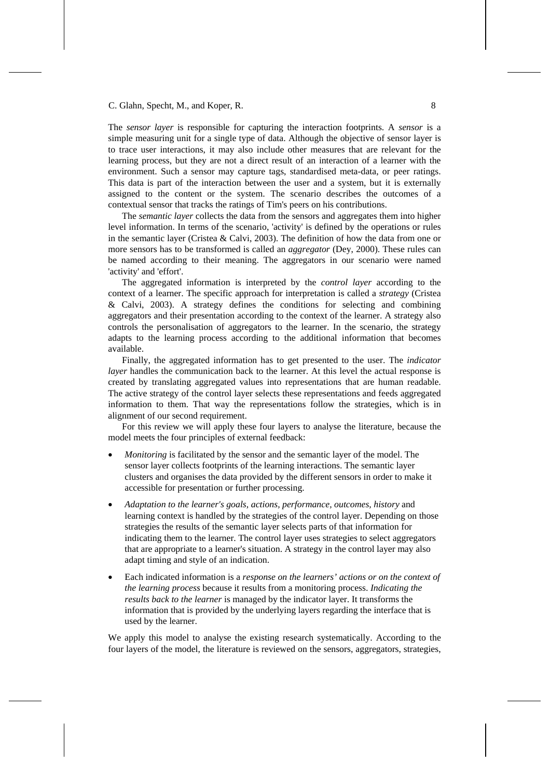The *sensor layer* is responsible for capturing the interaction footprints. A *sensor* is a simple measuring unit for a single type of data. Although the objective of sensor layer is to trace user interactions, it may also include other measures that are relevant for the learning process, but they are not a direct result of an interaction of a learner with the environment. Such a sensor may capture tags, standardised meta-data, or peer ratings. This data is part of the interaction between the user and a system, but it is externally assigned to the content or the system. The scenario describes the outcomes of a contextual sensor that tracks the ratings of Tim's peers on his contributions.

The *semantic layer* collects the data from the sensors and aggregates them into higher level information. In terms of the scenario, 'activity' is defined by the operations or rules in the semantic layer (Cristea & Calvi, 2003). The definition of how the data from one or more sensors has to be transformed is called an *aggregator* (Dey, 2000). These rules can be named according to their meaning. The aggregators in our scenario were named 'activity' and 'effort'.

The aggregated information is interpreted by the *control layer* according to the context of a learner. The specific approach for interpretation is called a *strategy* (Cristea & Calvi, 2003). A strategy defines the conditions for selecting and combining aggregators and their presentation according to the context of the learner. A strategy also controls the personalisation of aggregators to the learner. In the scenario, the strategy adapts to the learning process according to the additional information that becomes available.

Finally, the aggregated information has to get presented to the user. The *indicator layer* handles the communication back to the learner. At this level the actual response is created by translating aggregated values into representations that are human readable. The active strategy of the control layer selects these representations and feeds aggregated information to them. That way the representations follow the strategies, which is in alignment of our second requirement.

For this review we will apply these four layers to analyse the literature, because the model meets the four principles of external feedback:

- *Monitoring* is facilitated by the sensor and the semantic layer of the model. The sensor layer collects footprints of the learning interactions. The semantic layer clusters and organises the data provided by the different sensors in order to make it accessible for presentation or further processing.
- *Adaptation to the learner's goals, actions, performance, outcomes, history* and learning context is handled by the strategies of the control layer. Depending on those strategies the results of the semantic layer selects parts of that information for indicating them to the learner. The control layer uses strategies to select aggregators that are appropriate to a learner's situation. A strategy in the control layer may also adapt timing and style of an indication.
- Each indicated information is a *response on the learners' actions or on the context of the learning process* because it results from a monitoring process. *Indicating the results back to the learner* is managed by the indicator layer. It transforms the information that is provided by the underlying layers regarding the interface that is used by the learner.

We apply this model to analyse the existing research systematically. According to the four layers of the model, the literature is reviewed on the sensors, aggregators, strategies,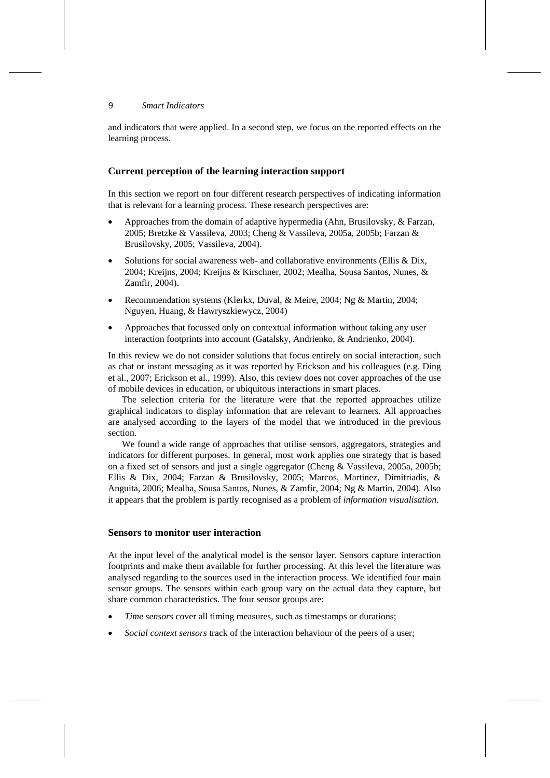and indicators that were applied. In a second step, we focus on the reported effects on the learning process.

# **Current perception of the learning interaction support**

In this section we report on four different research perspectives of indicating information that is relevant for a learning process. These research perspectives are:

- Approaches from the domain of adaptive hypermedia (Ahn, Brusilovsky, & Farzan, 2005; Bretzke & Vassileva, 2003; Cheng & Vassileva, 2005a, 2005b; Farzan & Brusilovsky, 2005; Vassileva, 2004).
- Solutions for social awareness web- and collaborative environments (Ellis & Dix, 2004; Kreijns, 2004; Kreijns & Kirschner, 2002; Mealha, Sousa Santos, Nunes, & Zamfir, 2004).
- Recommendation systems (Klerkx, Duval, & Meire, 2004; Ng & Martin, 2004; Nguyen, Huang, & Hawryszkiewycz, 2004)
- Approaches that focussed only on contextual information without taking any user interaction footprints into account (Gatalsky, Andrienko, & Andrienko, 2004).

In this review we do not consider solutions that focus entirely on social interaction, such as chat or instant messaging as it was reported by Erickson and his colleagues (e.g. Ding et al., 2007; Erickson et al., 1999). Also, this review does not cover approaches of the use of mobile devices in education, or ubiquitous interactions in smart places.

The selection criteria for the literature were that the reported approaches utilize graphical indicators to display information that are relevant to learners. All approaches are analysed according to the layers of the model that we introduced in the previous section.

We found a wide range of approaches that utilise sensors, aggregators, strategies and indicators for different purposes. In general, most work applies one strategy that is based on a fixed set of sensors and just a single aggregator (Cheng & Vassileva, 2005a, 2005b; Ellis & Dix, 2004; Farzan & Brusilovsky, 2005; Marcos, Martinez, Dimitriadis, & Anguita, 2006; Mealha, Sousa Santos, Nunes, & Zamfir, 2004; Ng & Martin, 2004). Also it appears that the problem is partly recognised as a problem of *information visualisation.*

# **Sensors to monitor user interaction**

At the input level of the analytical model is the sensor layer. Sensors capture interaction footprints and make them available for further processing. At this level the literature was analysed regarding to the sources used in the interaction process. We identified four main sensor groups. The sensors within each group vary on the actual data they capture, but share common characteristics. The four sensor groups are:

- *Time sensors* cover all timing measures, such as timestamps or durations;
- *Social context sensors* track of the interaction behaviour of the peers of a user;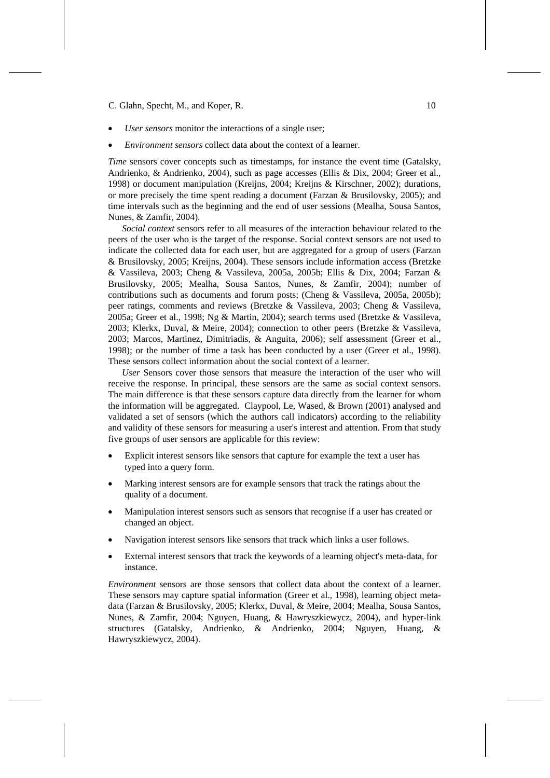- *User sensors* monitor the interactions of a single user;
- *Environment sensors* collect data about the context of a learner.

*Time* sensors cover concepts such as timestamps, for instance the event time (Gatalsky, Andrienko, & Andrienko, 2004), such as page accesses (Ellis & Dix, 2004; Greer et al., 1998) or document manipulation (Kreijns, 2004; Kreijns & Kirschner, 2002); durations, or more precisely the time spent reading a document (Farzan & Brusilovsky, 2005); and time intervals such as the beginning and the end of user sessions (Mealha, Sousa Santos, Nunes, & Zamfir, 2004).

*Social context* sensors refer to all measures of the interaction behaviour related to the peers of the user who is the target of the response. Social context sensors are not used to indicate the collected data for each user, but are aggregated for a group of users (Farzan & Brusilovsky, 2005; Kreijns, 2004). These sensors include information access (Bretzke & Vassileva, 2003; Cheng & Vassileva, 2005a, 2005b; Ellis & Dix, 2004; Farzan & Brusilovsky, 2005; Mealha, Sousa Santos, Nunes, & Zamfir, 2004); number of contributions such as documents and forum posts; (Cheng & Vassileva, 2005a, 2005b); peer ratings, comments and reviews (Bretzke & Vassileva, 2003; Cheng & Vassileva, 2005a; Greer et al., 1998; Ng & Martin, 2004); search terms used (Bretzke & Vassileva, 2003; Klerkx, Duval, & Meire, 2004); connection to other peers (Bretzke & Vassileva, 2003; Marcos, Martinez, Dimitriadis, & Anguita, 2006); self assessment (Greer et al., 1998); or the number of time a task has been conducted by a user (Greer et al., 1998). These sensors collect information about the social context of a learner.

*User* Sensors cover those sensors that measure the interaction of the user who will receive the response. In principal, these sensors are the same as social context sensors. The main difference is that these sensors capture data directly from the learner for whom the information will be aggregated. Claypool, Le, Wased, & Brown (2001) analysed and validated a set of sensors (which the authors call indicators) according to the reliability and validity of these sensors for measuring a user's interest and attention. From that study five groups of user sensors are applicable for this review:

- Explicit interest sensors like sensors that capture for example the text a user has typed into a query form.
- Marking interest sensors are for example sensors that track the ratings about the quality of a document.
- Manipulation interest sensors such as sensors that recognise if a user has created or changed an object.
- Navigation interest sensors like sensors that track which links a user follows.
- External interest sensors that track the keywords of a learning object's meta-data, for instance.

*Environment* sensors are those sensors that collect data about the context of a learner. These sensors may capture spatial information (Greer et al., 1998), learning object metadata (Farzan & Brusilovsky, 2005; Klerkx, Duval, & Meire, 2004; Mealha, Sousa Santos, Nunes, & Zamfir, 2004; Nguyen, Huang, & Hawryszkiewycz, 2004), and hyper-link structures (Gatalsky, Andrienko, & Andrienko, 2004; Nguyen, Huang, & Hawryszkiewycz, 2004).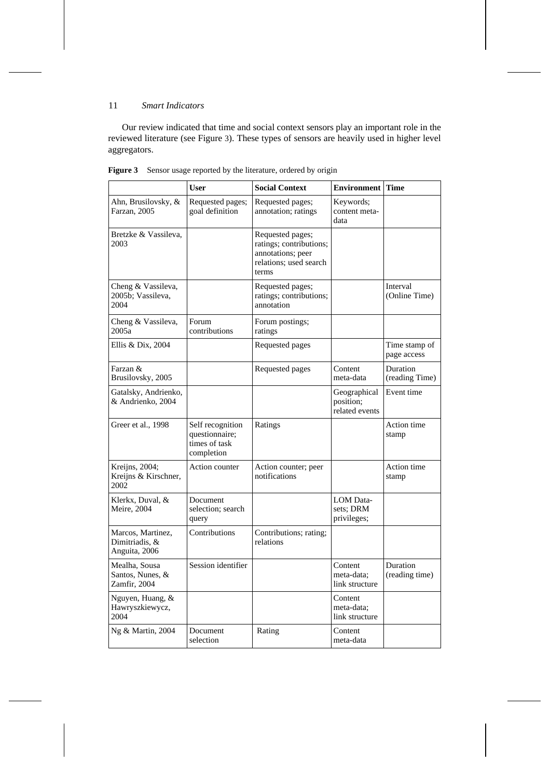Our review indicated that time and social context sensors play an important role in the reviewed literature (see Figure 3). These types of sensors are heavily used in higher level aggregators.

|                                                      | <b>User</b>                                                       | <b>Social Context</b>                                                                               | Environment                                  | <b>Time</b>                  |
|------------------------------------------------------|-------------------------------------------------------------------|-----------------------------------------------------------------------------------------------------|----------------------------------------------|------------------------------|
| Ahn, Brusilovsky, &<br>Farzan, 2005                  | Requested pages;<br>goal definition                               | Requested pages;<br>annotation; ratings                                                             | Keywords;<br>content meta-<br>data           |                              |
| Bretzke & Vassileva,<br>2003                         |                                                                   | Requested pages;<br>ratings; contributions;<br>annotations; peer<br>relations; used search<br>terms |                                              |                              |
| Cheng & Vassileva,<br>2005b; Vassileva,<br>2004      |                                                                   | Requested pages;<br>ratings; contributions;<br>annotation                                           |                                              | Interval<br>(Online Time)    |
| Cheng & Vassileva,<br>2005a                          | Forum<br>contributions                                            | Forum postings;<br>ratings                                                                          |                                              |                              |
| Ellis & Dix, 2004                                    |                                                                   | Requested pages                                                                                     |                                              | Time stamp of<br>page access |
| Farzan &<br>Brusilovsky, 2005                        |                                                                   | Requested pages                                                                                     | Content<br>meta-data                         | Duration<br>(reading Time)   |
| Gatalsky, Andrienko,<br>& Andrienko, 2004            |                                                                   |                                                                                                     | Geographical<br>position;<br>related events  | Event time                   |
| Greer et al., 1998                                   | Self recognition<br>questionnaire;<br>times of task<br>completion | Ratings                                                                                             |                                              | Action time<br>stamp         |
| Kreijns, 2004;<br>Kreijns & Kirschner,<br>2002       | <b>Action counter</b>                                             | Action counter; peer<br>notifications                                                               |                                              | <b>Action</b> time<br>stamp  |
| Klerkx, Duval, &<br>Meire, 2004                      | <b>Document</b><br>selection; search<br>query                     |                                                                                                     | <b>LOM</b> Data-<br>sets; DRM<br>privileges; |                              |
| Marcos, Martinez,<br>Dimitriadis, &<br>Anguita, 2006 | Contributions                                                     | Contributions; rating;<br>relations                                                                 |                                              |                              |
| Mealha, Sousa<br>Santos, Nunes, &<br>Zamfir, 2004    | Session identifier                                                |                                                                                                     | Content<br>meta-data;<br>link structure      | Duration<br>(reading time)   |
| Nguyen, Huang, &<br>Hawryszkiewycz,<br>2004          |                                                                   |                                                                                                     | Content<br>meta-data:<br>link structure      |                              |
| Ng & Martin, 2004                                    | Document<br>selection                                             | Rating                                                                                              | Content<br>meta-data                         |                              |

Figure 3 Sensor usage reported by the literature, ordered by origin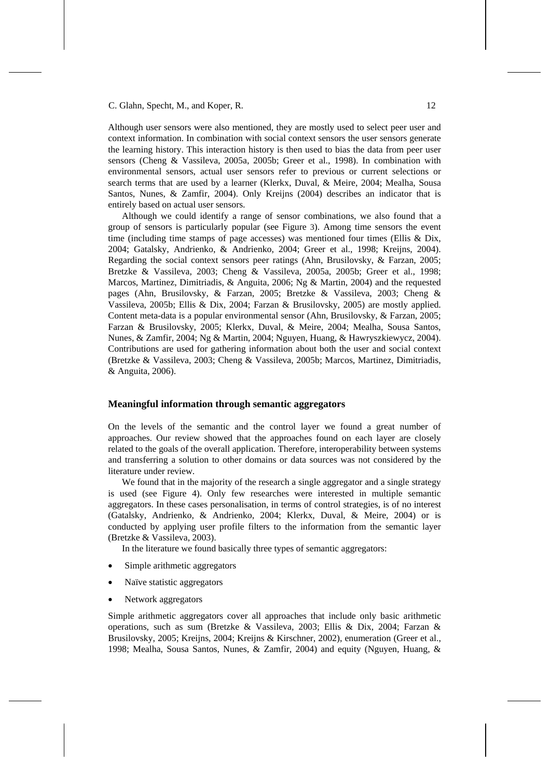Although user sensors were also mentioned, they are mostly used to select peer user and context information. In combination with social context sensors the user sensors generate the learning history. This interaction history is then used to bias the data from peer user sensors (Cheng & Vassileva, 2005a, 2005b; Greer et al., 1998). In combination with environmental sensors, actual user sensors refer to previous or current selections or search terms that are used by a learner (Klerkx, Duval, & Meire, 2004; Mealha, Sousa Santos, Nunes, & Zamfir, 2004). Only Kreijns (2004) describes an indicator that is entirely based on actual user sensors.

Although we could identify a range of sensor combinations, we also found that a group of sensors is particularly popular (see Figure 3). Among time sensors the event time (including time stamps of page accesses) was mentioned four times (Ellis & Dix, 2004; Gatalsky, Andrienko, & Andrienko, 2004; Greer et al., 1998; Kreijns, 2004). Regarding the social context sensors peer ratings (Ahn, Brusilovsky, & Farzan, 2005; Bretzke & Vassileva, 2003; Cheng & Vassileva, 2005a, 2005b; Greer et al., 1998; Marcos, Martinez, Dimitriadis, & Anguita, 2006; Ng & Martin, 2004) and the requested pages (Ahn, Brusilovsky, & Farzan, 2005; Bretzke & Vassileva, 2003; Cheng & Vassileva, 2005b; Ellis & Dix, 2004; Farzan & Brusilovsky, 2005) are mostly applied. Content meta-data is a popular environmental sensor (Ahn, Brusilovsky, & Farzan, 2005; Farzan & Brusilovsky, 2005; Klerkx, Duval, & Meire, 2004; Mealha, Sousa Santos, Nunes, & Zamfir, 2004; Ng & Martin, 2004; Nguyen, Huang, & Hawryszkiewycz, 2004). Contributions are used for gathering information about both the user and social context (Bretzke & Vassileva, 2003; Cheng & Vassileva, 2005b; Marcos, Martinez, Dimitriadis, & Anguita, 2006).

#### **Meaningful information through semantic aggregators**

On the levels of the semantic and the control layer we found a great number of approaches. Our review showed that the approaches found on each layer are closely related to the goals of the overall application. Therefore, interoperability between systems and transferring a solution to other domains or data sources was not considered by the literature under review.

We found that in the majority of the research a single aggregator and a single strategy is used (see Figure 4). Only few researches were interested in multiple semantic aggregators. In these cases personalisation, in terms of control strategies, is of no interest (Gatalsky, Andrienko, & Andrienko, 2004; Klerkx, Duval, & Meire, 2004) or is conducted by applying user profile filters to the information from the semantic layer (Bretzke & Vassileva, 2003).

In the literature we found basically three types of semantic aggregators:

- Simple arithmetic aggregators
- Naïve statistic aggregators
- Network aggregators

Simple arithmetic aggregators cover all approaches that include only basic arithmetic operations, such as sum (Bretzke & Vassileva, 2003; Ellis & Dix, 2004; Farzan & Brusilovsky, 2005; Kreijns, 2004; Kreijns & Kirschner, 2002), enumeration (Greer et al., 1998; Mealha, Sousa Santos, Nunes, & Zamfir, 2004) and equity (Nguyen, Huang, &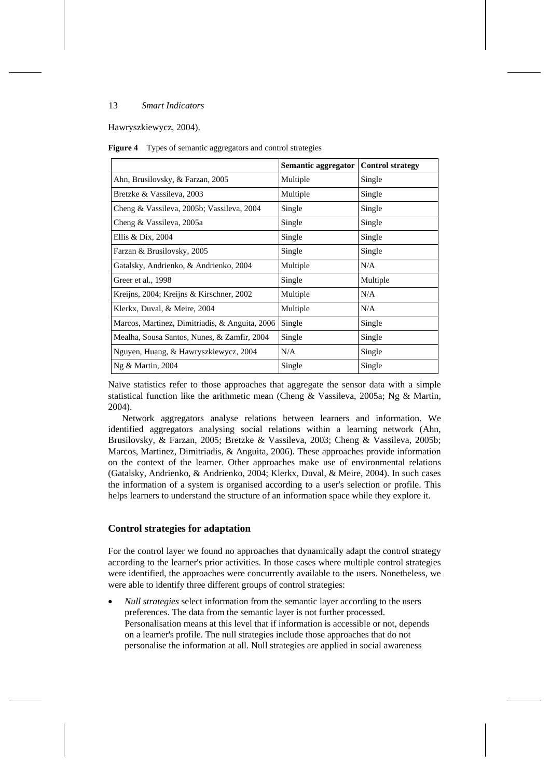Hawryszkiewycz, 2004).

| <b>Figure 4</b> | Types of semantic aggregators and control strategies |
|-----------------|------------------------------------------------------|
|                 |                                                      |

|                                                | Semantic aggregator | <b>Control strategy</b> |  |
|------------------------------------------------|---------------------|-------------------------|--|
| Ahn, Brusilovsky, & Farzan, 2005               | Multiple            | Single                  |  |
| Bretzke & Vassileva, 2003                      | Multiple            | Single                  |  |
| Cheng & Vassileva, 2005b; Vassileva, 2004      | Single              | Single                  |  |
| Cheng & Vassileva, 2005a                       | Single              | Single                  |  |
| Ellis & Dix, $2004$                            | Single              | Single                  |  |
| Farzan & Brusilovsky, 2005                     | Single              | Single                  |  |
| Gatalsky, Andrienko, & Andrienko, 2004         | Multiple            | N/A                     |  |
| Greer et al., 1998                             | Single              | Multiple                |  |
| Kreijns, 2004; Kreijns & Kirschner, 2002       | Multiple            | N/A                     |  |
| Klerkx, Duval, & Meire, 2004                   | Multiple            | N/A                     |  |
| Marcos, Martinez, Dimitriadis, & Anguita, 2006 | Single              | Single                  |  |
| Mealha, Sousa Santos, Nunes, & Zamfir, 2004    | Single              | Single                  |  |
| Nguyen, Huang, & Hawryszkiewycz, 2004          | N/A                 | Single                  |  |
| Ng & Martin, 2004                              | Single              | Single                  |  |

Naïve statistics refer to those approaches that aggregate the sensor data with a simple statistical function like the arithmetic mean (Cheng & Vassileva, 2005a; Ng & Martin, 2004).

Network aggregators analyse relations between learners and information. We identified aggregators analysing social relations within a learning network (Ahn, Brusilovsky, & Farzan, 2005; Bretzke & Vassileva, 2003; Cheng & Vassileva, 2005b; Marcos, Martinez, Dimitriadis, & Anguita, 2006). These approaches provide information on the context of the learner. Other approaches make use of environmental relations (Gatalsky, Andrienko, & Andrienko, 2004; Klerkx, Duval, & Meire, 2004). In such cases the information of a system is organised according to a user's selection or profile. This helps learners to understand the structure of an information space while they explore it.

#### **Control strategies for adaptation**

For the control layer we found no approaches that dynamically adapt the control strategy according to the learner's prior activities. In those cases where multiple control strategies were identified, the approaches were concurrently available to the users. Nonetheless, we were able to identify three different groups of control strategies:

• *Null strategies* select information from the semantic layer according to the users preferences. The data from the semantic layer is not further processed. Personalisation means at this level that if information is accessible or not, depends on a learner's profile. The null strategies include those approaches that do not personalise the information at all. Null strategies are applied in social awareness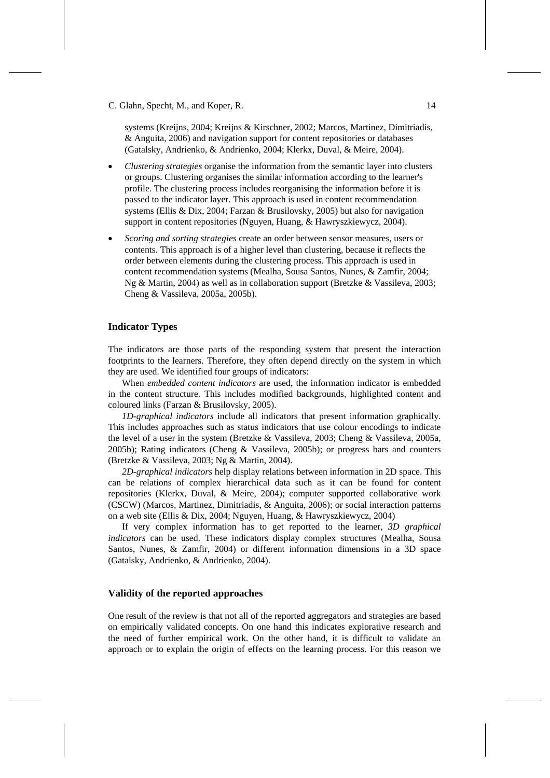systems (Kreijns, 2004; Kreijns & Kirschner, 2002; Marcos, Martinez, Dimitriadis, & Anguita, 2006) and navigation support for content repositories or databases (Gatalsky, Andrienko, & Andrienko, 2004; Klerkx, Duval, & Meire, 2004).

- *Clustering strategies* organise the information from the semantic layer into clusters or groups. Clustering organises the similar information according to the learner's profile. The clustering process includes reorganising the information before it is passed to the indicator layer. This approach is used in content recommendation systems (Ellis & Dix, 2004; Farzan & Brusilovsky, 2005) but also for navigation support in content repositories (Nguyen, Huang, & Hawryszkiewycz, 2004).
- *Scoring and sorting strategies* create an order between sensor measures, users or contents. This approach is of a higher level than clustering, because it reflects the order between elements during the clustering process. This approach is used in content recommendation systems (Mealha, Sousa Santos, Nunes, & Zamfir, 2004; Ng & Martin, 2004) as well as in collaboration support (Bretzke & Vassileva, 2003; Cheng & Vassileva, 2005a, 2005b).

# **Indicator Types**

The indicators are those parts of the responding system that present the interaction footprints to the learners. Therefore, they often depend directly on the system in which they are used. We identified four groups of indicators:

When *embedded content indicators* are used, the information indicator is embedded in the content structure. This includes modified backgrounds, highlighted content and coloured links (Farzan & Brusilovsky, 2005).

*1D-graphical indicators* include all indicators that present information graphically. This includes approaches such as status indicators that use colour encodings to indicate the level of a user in the system (Bretzke & Vassileva, 2003; Cheng & Vassileva, 2005a, 2005b); Rating indicators (Cheng & Vassileva, 2005b); or progress bars and counters (Bretzke & Vassileva, 2003; Ng & Martin, 2004).

*2D-graphical indicators* help display relations between information in 2D space. This can be relations of complex hierarchical data such as it can be found for content repositories (Klerkx, Duval, & Meire, 2004); computer supported collaborative work (CSCW) (Marcos, Martinez, Dimitriadis, & Anguita, 2006); or social interaction patterns on a web site (Ellis & Dix, 2004; Nguyen, Huang, & Hawryszkiewycz, 2004)

If very complex information has to get reported to the learner, *3D graphical indicators* can be used. These indicators display complex structures (Mealha, Sousa Santos, Nunes, & Zamfir, 2004) or different information dimensions in a 3D space (Gatalsky, Andrienko, & Andrienko, 2004).

#### **Validity of the reported approaches**

One result of the review is that not all of the reported aggregators and strategies are based on empirically validated concepts. On one hand this indicates explorative research and the need of further empirical work. On the other hand, it is difficult to validate an approach or to explain the origin of effects on the learning process. For this reason we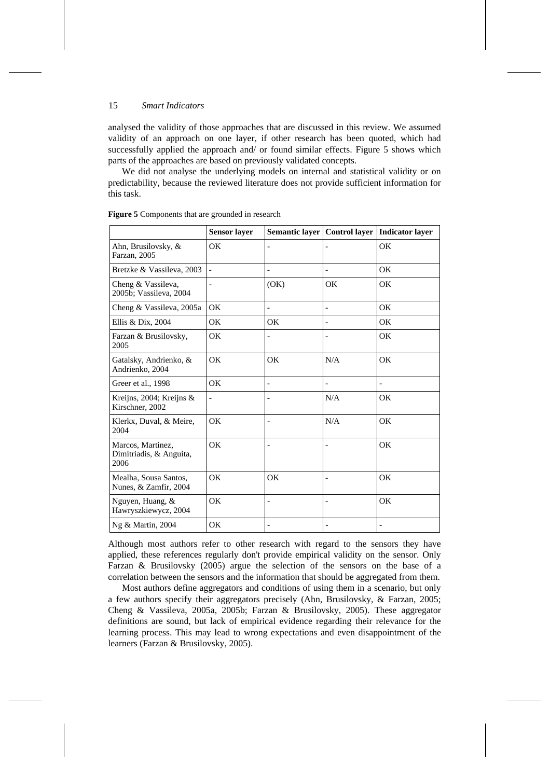analysed the validity of those approaches that are discussed in this review. We assumed validity of an approach on one layer, if other research has been quoted, which had successfully applied the approach and/ or found similar effects. Figure 5 shows which parts of the approaches are based on previously validated concepts.

We did not analyse the underlying models on internal and statistical validity or on predictability, because the reviewed literature does not provide sufficient information for this task.

|                                                      | <b>Sensor layer</b>      | Semantic layer           | <b>Control layer</b>     | <b>Indicator laver</b> |
|------------------------------------------------------|--------------------------|--------------------------|--------------------------|------------------------|
| Ahn, Brusilovsky, &<br>Farzan, 2005                  | OK                       |                          |                          | OK                     |
| Bretzke & Vassileva, 2003                            | $\overline{\phantom{0}}$ | $\overline{\phantom{0}}$ | $\overline{\phantom{a}}$ | OK                     |
| Cheng & Vassileva,<br>2005b; Vassileva, 2004         |                          | (OK)                     | OK                       | OK                     |
| Cheng & Vassileva, 2005a                             | OK.                      | $\overline{a}$           |                          | OK                     |
| Ellis & Dix, 2004                                    | OK                       | OK.                      |                          | ОK                     |
| Farzan & Brusilovsky,<br>2005                        | OK.                      |                          |                          | OK                     |
| Gatalsky, Andrienko, &<br>Andrienko, 2004            | OK                       | OK                       | N/A                      | <b>OK</b>              |
| Greer et al., 1998                                   | OK.                      | $\overline{a}$           | $\overline{\phantom{a}}$ | $\overline{a}$         |
| Kreijns, 2004; Kreijns &<br>Kirschner, 2002          |                          | $\overline{a}$           | N/A                      | OK                     |
| Klerkx, Duval, & Meire,<br>2004                      | OK                       | $\overline{a}$           | N/A                      | OK                     |
| Marcos, Martinez,<br>Dimitriadis, & Anguita,<br>2006 | OK.                      | $\overline{a}$           |                          | OK.                    |
| Mealha, Sousa Santos,<br>Nunes, & Zamfir, 2004       | OK                       | OK                       | $\overline{a}$           | OK                     |
| Nguyen, Huang, &<br>Hawryszkiewycz, 2004             | OK                       | ۰                        | $\qquad \qquad$          | OK                     |
| Ng & Martin, 2004                                    | OK                       | $\overline{a}$           |                          | $\overline{a}$         |

**Figure 5** Components that are grounded in research

Although most authors refer to other research with regard to the sensors they have applied, these references regularly don't provide empirical validity on the sensor. Only Farzan & Brusilovsky (2005) argue the selection of the sensors on the base of a correlation between the sensors and the information that should be aggregated from them.

Most authors define aggregators and conditions of using them in a scenario, but only a few authors specify their aggregators precisely (Ahn, Brusilovsky, & Farzan, 2005; Cheng & Vassileva, 2005a, 2005b; Farzan & Brusilovsky, 2005). These aggregator definitions are sound, but lack of empirical evidence regarding their relevance for the learning process. This may lead to wrong expectations and even disappointment of the learners (Farzan & Brusilovsky, 2005).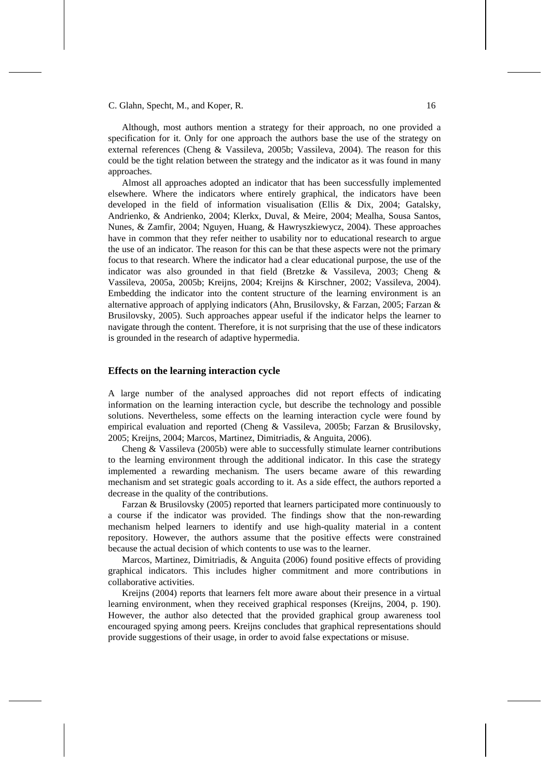Although, most authors mention a strategy for their approach, no one provided a specification for it. Only for one approach the authors base the use of the strategy on external references (Cheng & Vassileva, 2005b; Vassileva, 2004). The reason for this could be the tight relation between the strategy and the indicator as it was found in many approaches.

Almost all approaches adopted an indicator that has been successfully implemented elsewhere. Where the indicators where entirely graphical, the indicators have been developed in the field of information visualisation (Ellis & Dix, 2004; Gatalsky, Andrienko, & Andrienko, 2004; Klerkx, Duval, & Meire, 2004; Mealha, Sousa Santos, Nunes, & Zamfir, 2004; Nguyen, Huang, & Hawryszkiewycz, 2004). These approaches have in common that they refer neither to usability nor to educational research to argue the use of an indicator. The reason for this can be that these aspects were not the primary focus to that research. Where the indicator had a clear educational purpose, the use of the indicator was also grounded in that field (Bretzke & Vassileva, 2003; Cheng & Vassileva, 2005a, 2005b; Kreijns, 2004; Kreijns & Kirschner, 2002; Vassileva, 2004). Embedding the indicator into the content structure of the learning environment is an alternative approach of applying indicators (Ahn, Brusilovsky, & Farzan, 2005; Farzan & Brusilovsky, 2005). Such approaches appear useful if the indicator helps the learner to navigate through the content. Therefore, it is not surprising that the use of these indicators is grounded in the research of adaptive hypermedia.

# **Effects on the learning interaction cycle**

A large number of the analysed approaches did not report effects of indicating information on the learning interaction cycle, but describe the technology and possible solutions. Nevertheless, some effects on the learning interaction cycle were found by empirical evaluation and reported (Cheng & Vassileva, 2005b; Farzan & Brusilovsky, 2005; Kreijns, 2004; Marcos, Martinez, Dimitriadis, & Anguita, 2006).

Cheng & Vassileva (2005b) were able to successfully stimulate learner contributions to the learning environment through the additional indicator. In this case the strategy implemented a rewarding mechanism. The users became aware of this rewarding mechanism and set strategic goals according to it. As a side effect, the authors reported a decrease in the quality of the contributions.

Farzan & Brusilovsky (2005) reported that learners participated more continuously to a course if the indicator was provided. The findings show that the non-rewarding mechanism helped learners to identify and use high-quality material in a content repository. However, the authors assume that the positive effects were constrained because the actual decision of which contents to use was to the learner.

Marcos, Martinez, Dimitriadis, & Anguita (2006) found positive effects of providing graphical indicators. This includes higher commitment and more contributions in collaborative activities.

Kreijns (2004) reports that learners felt more aware about their presence in a virtual learning environment, when they received graphical responses (Kreijns, 2004, p. 190). However, the author also detected that the provided graphical group awareness tool encouraged spying among peers. Kreijns concludes that graphical representations should provide suggestions of their usage, in order to avoid false expectations or misuse.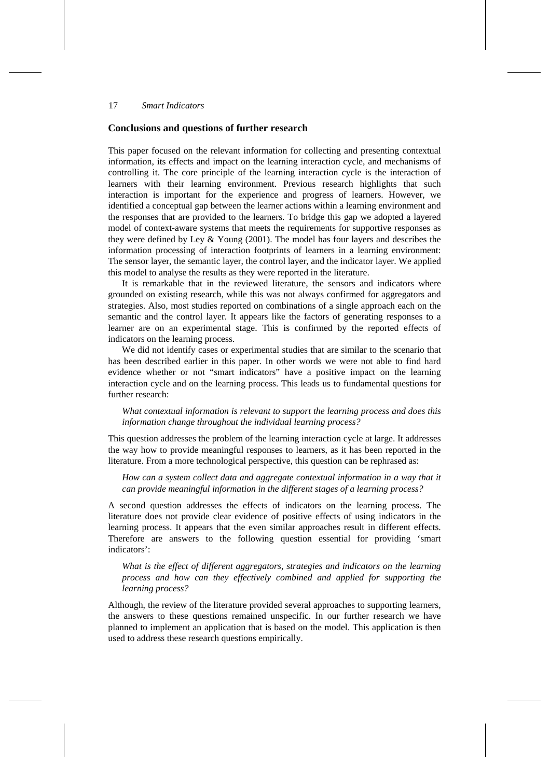# **Conclusions and questions of further research**

This paper focused on the relevant information for collecting and presenting contextual information, its effects and impact on the learning interaction cycle, and mechanisms of controlling it. The core principle of the learning interaction cycle is the interaction of learners with their learning environment. Previous research highlights that such interaction is important for the experience and progress of learners. However, we identified a conceptual gap between the learner actions within a learning environment and the responses that are provided to the learners. To bridge this gap we adopted a layered model of context-aware systems that meets the requirements for supportive responses as they were defined by Ley & Young (2001). The model has four layers and describes the information processing of interaction footprints of learners in a learning environment: The sensor layer, the semantic layer, the control layer, and the indicator layer. We applied this model to analyse the results as they were reported in the literature.

It is remarkable that in the reviewed literature, the sensors and indicators where grounded on existing research, while this was not always confirmed for aggregators and strategies. Also, most studies reported on combinations of a single approach each on the semantic and the control layer. It appears like the factors of generating responses to a learner are on an experimental stage. This is confirmed by the reported effects of indicators on the learning process.

We did not identify cases or experimental studies that are similar to the scenario that has been described earlier in this paper. In other words we were not able to find hard evidence whether or not "smart indicators" have a positive impact on the learning interaction cycle and on the learning process. This leads us to fundamental questions for further research:

*What contextual information is relevant to support the learning process and does this information change throughout the individual learning process?* 

This question addresses the problem of the learning interaction cycle at large. It addresses the way how to provide meaningful responses to learners, as it has been reported in the literature. From a more technological perspective, this question can be rephrased as:

How can a system collect data and aggregate contextual information in a way that it *can provide meaningful information in the different stages of a learning process?* 

A second question addresses the effects of indicators on the learning process. The literature does not provide clear evidence of positive effects of using indicators in the learning process. It appears that the even similar approaches result in different effects. Therefore are answers to the following question essential for providing 'smart indicators':

*What is the effect of different aggregators, strategies and indicators on the learning process and how can they effectively combined and applied for supporting the learning process?* 

Although, the review of the literature provided several approaches to supporting learners, the answers to these questions remained unspecific. In our further research we have planned to implement an application that is based on the model. This application is then used to address these research questions empirically.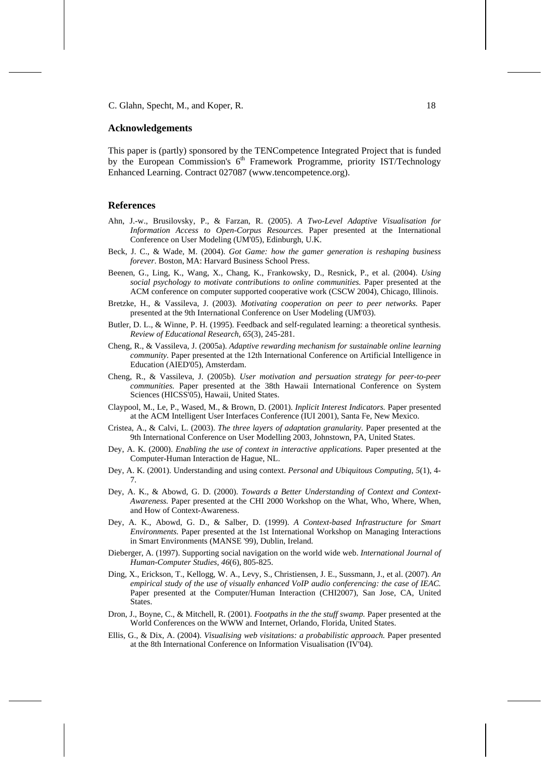# **Acknowledgements**

This paper is (partly) sponsored by the TENCompetence Integrated Project that is funded by the European Commission's  $6<sup>th</sup>$  Framework Programme, priority IST/Technology Enhanced Learning. Contract 027087 (www.tencompetence.org).

# **References**

- Ahn, J.-w., Brusilovsky, P., & Farzan, R. (2005). *A Two-Level Adaptive Visualisation for Information Access to Open-Corpus Resources.* Paper presented at the International Conference on User Modeling (UM'05), Edinburgh, U.K.
- Beck, J. C., & Wade, M. (2004). *Got Game: how the gamer generation is reshaping business forever*. Boston, MA: Harvard Business School Press.
- Beenen, G., Ling, K., Wang, X., Chang, K., Frankowsky, D., Resnick, P., et al. (2004). *Using social psychology to motivate contributions to online communities.* Paper presented at the ACM conference on computer supported cooperative work (CSCW 2004), Chicago, Illinois.
- Bretzke, H., & Vassileva, J. (2003). *Motivating cooperation on peer to peer networks.* Paper presented at the 9th International Conference on User Modeling (UM'03).
- Butler, D. L., & Winne, P. H. (1995). Feedback and self-regulated learning: a theoretical synthesis. *Review of Educational Research, 65*(3), 245-281.
- Cheng, R., & Vassileva, J. (2005a). *Adaptive rewarding mechanism for sustainable online learning community*. Paper presented at the 12th International Conference on Artificial Intelligence in Education (AIED'05), Amsterdam.
- Cheng, R., & Vassileva, J. (2005b). *User motivation and persuation strategy for peer-to-peer communities.* Paper presented at the 38th Hawaii International Conference on System Sciences (HICSS'05), Hawaii, United States.
- Claypool, M., Le, P., Wased, M., & Brown, D. (2001). *Inplicit Interest Indicators.* Paper presented at the ACM Intelligent User Interfaces Conference (IUI 2001), Santa Fe, New Mexico.
- Cristea, A., & Calvi, L. (2003). *The three layers of adaptation granularity.* Paper presented at the 9th International Conference on User Modelling 2003, Johnstown, PA, United States.
- Dey, A. K. (2000). *Enabling the use of context in interactive applications.* Paper presented at the Computer-Human Interaction de Hague, NL.
- Dey, A. K. (2001). Understanding and using context. *Personal and Ubiquitous Computing, 5*(1), 4- 7.
- Dey, A. K., & Abowd, G. D. (2000). *Towards a Better Understanding of Context and Context-Awareness.* Paper presented at the CHI 2000 Workshop on the What, Who, Where, When, and How of Context-Awareness.
- Dey, A. K., Abowd, G. D., & Salber, D. (1999). *A Context-based Infrastructure for Smart Environments.* Paper presented at the 1st International Workshop on Managing Interactions in Smart Environments (MANSE '99), Dublin, Ireland.
- Dieberger, A. (1997). Supporting social navigation on the world wide web. *International Journal of Human-Computer Studies, 46*(6), 805-825.
- Ding, X., Erickson, T., Kellogg, W. A., Levy, S., Christiensen, J. E., Sussmann, J., et al. (2007). *An empirical study of the use of visually enhanced VoIP audio conferencing: the case of IEAC.* Paper presented at the Computer/Human Interaction (CHI2007), San Jose, CA, United States.
- Dron, J., Boyne, C., & Mitchell, R. (2001). *Footpaths in the the stuff swamp.* Paper presented at the World Conferences on the WWW and Internet, Orlando, Florida, United States.
- Ellis, G., & Dix, A. (2004). *Visualising web visitations: a probabilistic approach.* Paper presented at the 8th International Conference on Information Visualisation (IV'04).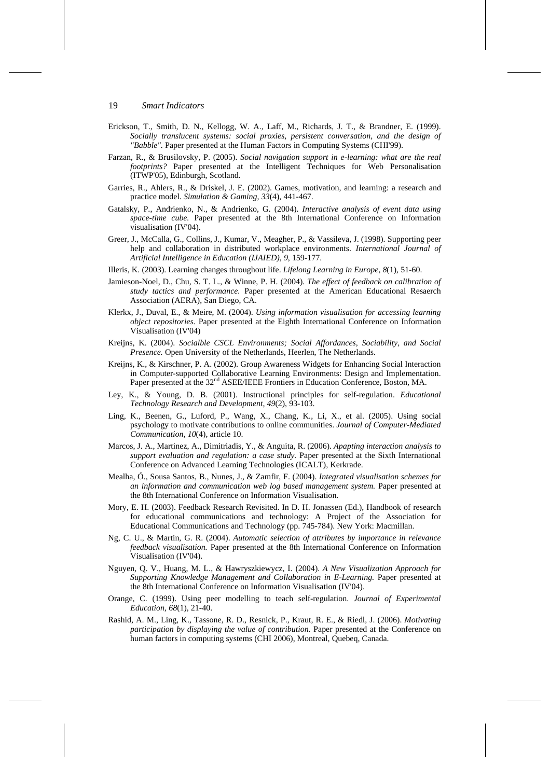- Erickson, T., Smith, D. N., Kellogg, W. A., Laff, M., Richards, J. T., & Brandner, E. (1999). *Socially translucent systems: social proxies, persistent conversation, and the design of "Babble".* Paper presented at the Human Factors in Computing Systems (CHI'99).
- Farzan, R., & Brusilovsky, P. (2005). *Social navigation support in e-learning: what are the real footprints?* Paper presented at the Intelligent Techniques for Web Personalisation (ITWP'05), Edinburgh, Scotland.
- Garries, R., Ahlers, R., & Driskel, J. E. (2002). Games, motivation, and learning: a research and practice model. *Simulation & Gaming, 33*(4), 441-467.
- Gatalsky, P., Andrienko, N., & Andrienko, G. (2004). *Interactive analysis of event data using space-time cube.* Paper presented at the 8th International Conference on Information visualisation (IV'04).
- Greer, J., McCalla, G., Collins, J., Kumar, V., Meagher, P., & Vassileva, J. (1998). Supporting peer help and collaboration in distributed workplace environments. *International Journal of Artificial Intelligence in Education (IJAIED), 9*, 159-177.
- Illeris, K. (2003). Learning changes throughout life. *Lifelong Learning in Europe, 8*(1), 51-60.
- Jamieson-Noel, D., Chu, S. T. L., & Winne, P. H. (2004). *The effect of feedback on calibration of study tactics and performance.* Paper presented at the American Educational Resaerch Association (AERA), San Diego, CA.
- Klerkx, J., Duval, E., & Meire, M. (2004). *Using information visualisation for accessing learning object repositories.* Paper presented at the Eighth International Conference on Information Visualisation (IV'04)
- Kreijns, K. (2004). *Socialble CSCL Environments; Social Affordances, Sociability, and Social Presence.* Open University of the Netherlands, Heerlen, The Netherlands.
- Kreijns, K., & Kirschner, P. A. (2002). Group Awareness Widgets for Enhancing Social Interaction in Computer-supported Collaborative Learning Environments: Design and Implementation. Paper presented at the 32<sup>nd</sup> ASEE/IEEE Frontiers in Education Conference, Boston, MA.
- Ley, K., & Young, D. B. (2001). Instructional principles for self-regulation. *Educational Technology Research and Development, 49*(2), 93-103.
- Ling, K., Beenen, G., Luford, P., Wang, X., Chang, K., Li, X., et al. (2005). Using social psychology to motivate contributions to online communities. *Journal of Computer-Mediated Communication, 10*(4), article 10.
- Marcos, J. A., Martinez, A., Dimitriadis, Y., & Anguita, R. (2006). *Apapting interaction analysis to support evaluation and regulation: a case study.* Paper presented at the Sixth International Conference on Advanced Learning Technologies (ICALT), Kerkrade.
- Mealha, Ó., Sousa Santos, B., Nunes, J., & Zamfir, F. (2004). *Integrated visualisation schemes for an information and communication web log based management system.* Paper presented at the 8th International Conference on Information Visualisation.
- Mory, E. H. (2003). Feedback Research Revisited. In D. H. Jonassen (Ed.), Handbook of research for educational communications and technology: A Project of the Association for Educational Communications and Technology (pp. 745-784). New York: Macmillan.
- Ng, C. U., & Martin, G. R. (2004). *Automatic selection of attributes by importance in relevance feedback visualisation.* Paper presented at the 8th International Conference on Information Visualisation (IV'04).
- Nguyen, Q. V., Huang, M. L., & Hawryszkiewycz, I. (2004). *A New Visualization Approach for Supporting Knowledge Management and Collaboration in E-Learning.* Paper presented at the 8th International Conference on Information Visualisation (IV'04).
- Orange, C. (1999). Using peer modelling to teach self-regulation. *Journal of Experimental Education, 68*(1), 21-40.
- Rashid, A. M., Ling, K., Tassone, R. D., Resnick, P., Kraut, R. E., & Riedl, J. (2006). *Motivating participation by displaying the value of contribution.* Paper presented at the Conference on human factors in computing systems (CHI 2006), Montreal, Quebeq, Canada.